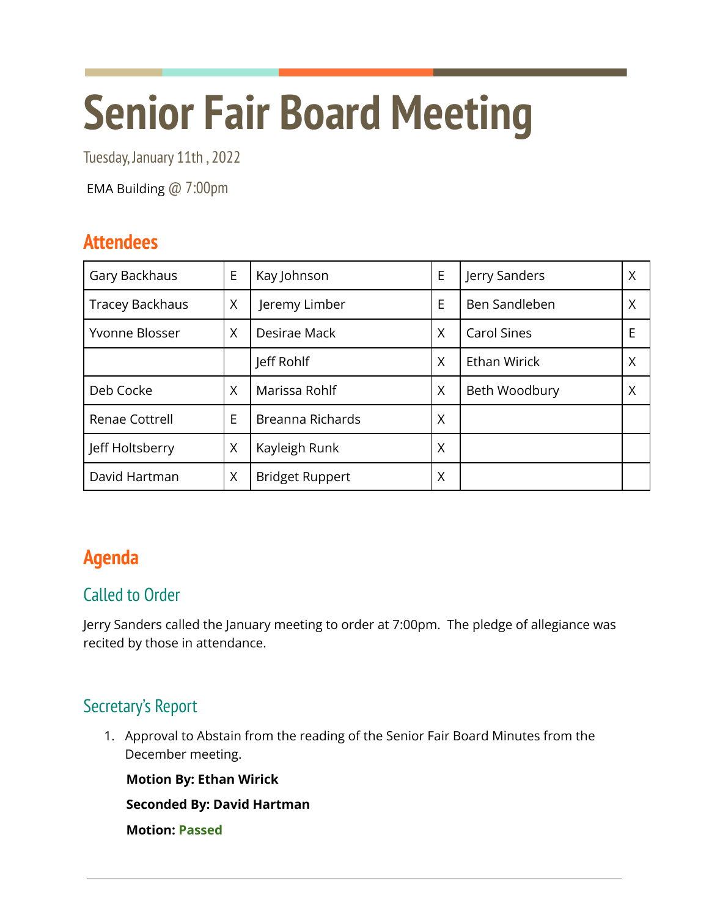# **Senior Fair Board Meeting**

Tuesday, January 11th , 2022

EMA Building @ 7:00pm

# **Attendees**

| Gary Backhaus          | E | Kay Johnson            | E | Jerry Sanders       | Χ |
|------------------------|---|------------------------|---|---------------------|---|
| <b>Tracey Backhaus</b> | Χ | Jeremy Limber          | E | Ben Sandleben       | Χ |
| Yvonne Blosser         | X | Desirae Mack           | X | <b>Carol Sines</b>  | E |
|                        |   | Jeff Rohlf             | X | <b>Ethan Wirick</b> | Χ |
| Deb Cocke              | X | Marissa Rohlf          | X | Beth Woodbury       | X |
| Renae Cottrell         | E | Breanna Richards       | X |                     |   |
| Jeff Holtsberry        | X | Kayleigh Runk          | X |                     |   |
| David Hartman          | X | <b>Bridget Ruppert</b> | Χ |                     |   |

# **Agenda**

## Called to Order

Jerry Sanders called the January meeting to order at 7:00pm. The pledge of allegiance was recited by those in attendance.

## Secretary's Report

1. Approval to Abstain from the reading of the Senior Fair Board Minutes from the December meeting.

**Motion By: Ethan Wirick**

**Seconded By: David Hartman**

**Motion: Passed**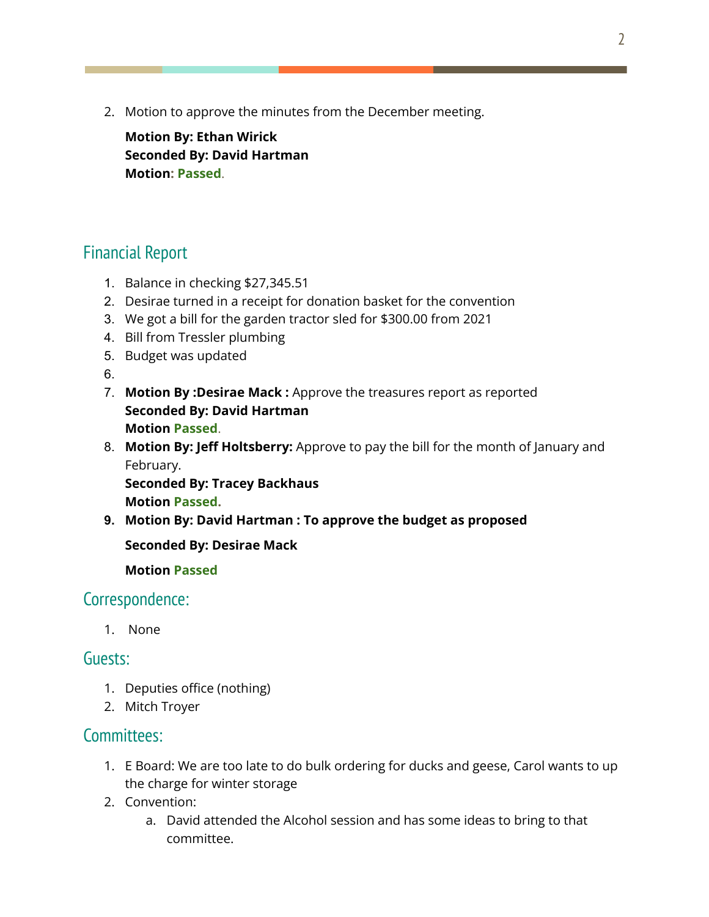2. Motion to approve the minutes from the December meeting.

**Motion By: Ethan Wirick Seconded By: David Hartman Motion: Passed**.

## Financial Report

- 1. Balance in checking \$27,345.51
- 2. Desirae turned in a receipt for donation basket for the convention
- 3. We got a bill for the garden tractor sled for \$300.00 from 2021
- 4. Bill from Tressler plumbing
- 5. Budget was updated

6.

- 7. **Motion By :Desirae Mack :** Approve the treasures report as reported **Seconded By: David Hartman Motion Passed**.
- 8. **Motion By: Jeff Holtsberry:** Approve to pay the bill for the month of January and February.

**Seconded By: Tracey Backhaus Motion Passed.**

**9. Motion By: David Hartman : To approve the budget as proposed**

**Seconded By: Desirae Mack**

**Motion Passed**

#### Correspondence:

1. None

#### Guests:

- 1. Deputies office (nothing)
- 2. Mitch Troyer

#### Committees:

- 1. E Board: We are too late to do bulk ordering for ducks and geese, Carol wants to up the charge for winter storage
- 2. Convention:
	- a. David attended the Alcohol session and has some ideas to bring to that committee.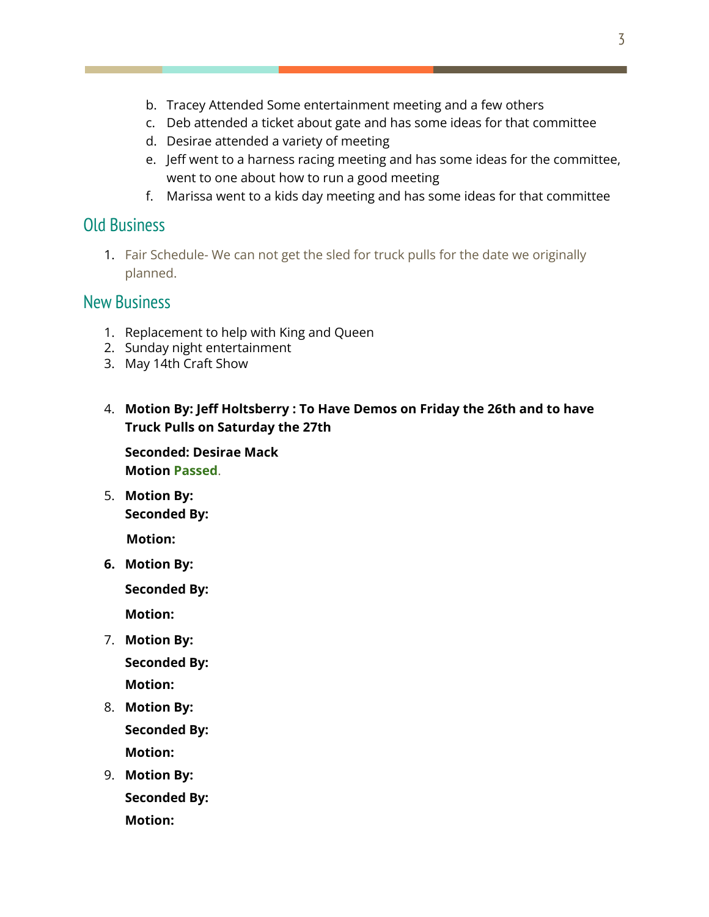- b. Tracey Attended Some entertainment meeting and a few others
- c. Deb attended a ticket about gate and has some ideas for that committee
- d. Desirae attended a variety of meeting
- e. Jeff went to a harness racing meeting and has some ideas for the committee, went to one about how to run a good meeting
- f. Marissa went to a kids day meeting and has some ideas for that committee

#### Old Business

1. Fair Schedule- We can not get the sled for truck pulls for the date we originally planned.

#### New Business

- 1. Replacement to help with King and Queen
- 2. Sunday night entertainment
- 3. May 14th Craft Show
- 4. **Motion By: Jeff Holtsberry : To Have Demos on Friday the 26th and to have Truck Pulls on Saturday the 27th**

**Seconded: Desirae Mack Motion Passed**.

5. **Motion By: Seconded By:**

**Motion:**

**6. Motion By:**

**Seconded By:**

**Motion:**

- 7. **Motion By: Seconded By: Motion:**
- 8. **Motion By: Seconded By: Motion:**
- 9. **Motion By: Seconded By: Motion:**